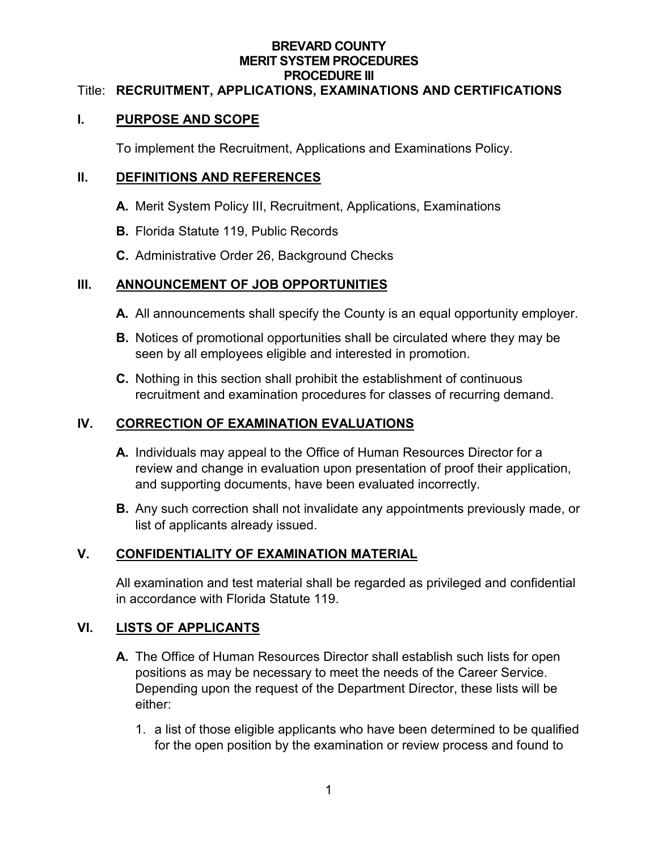#### **BREVARD COUNTY MERIT SYSTEM PROCEDURES PROCEDURE III**

#### Title: **RECRUITMENT, APPLICATIONS, EXAMINATIONS AND CERTIFICATIONS**

#### **I. PURPOSE AND SCOPE**

To implement the Recruitment, Applications and Examinations Policy.

#### **II. DEFINITIONS AND REFERENCES**

- **A.** Merit System Policy III, Recruitment, Applications, Examinations
- **B.** Florida Statute 119, Public Records
- **C.** Administrative Order 26, Background Checks

#### **III. ANNOUNCEMENT OF JOB OPPORTUNITIES**

- **A.** All announcements shall specify the County is an equal opportunity employer.
- **B.** Notices of promotional opportunities shall be circulated where they may be seen by all employees eligible and interested in promotion.
- **C.** Nothing in this section shall prohibit the establishment of continuous recruitment and examination procedures for classes of recurring demand.

### **IV. CORRECTION OF EXAMINATION EVALUATIONS**

- **A.** Individuals may appeal to the Office of Human Resources Director for a review and change in evaluation upon presentation of proof their application, and supporting documents, have been evaluated incorrectly.
- **B.** Any such correction shall not invalidate any appointments previously made, or list of applicants already issued.

# **V. CONFIDENTIALITY OF EXAMINATION MATERIAL**

All examination and test material shall be regarded as privileged and confidential in accordance with Florida Statute 119.

### **VI. LISTS OF APPLICANTS**

- **A.** The Office of Human Resources Director shall establish such lists for open positions as may be necessary to meet the needs of the Career Service. Depending upon the request of the Department Director, these lists will be either:
	- 1. a list of those eligible applicants who have been determined to be qualified for the open position by the examination or review process and found to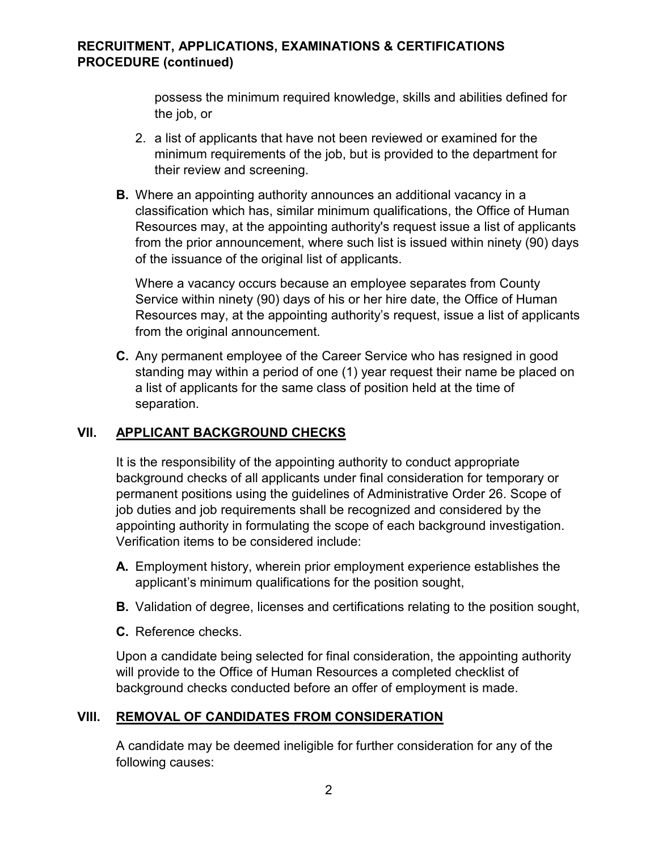### **RECRUITMENT, APPLICATIONS, EXAMINATIONS & CERTIFICATIONS PROCEDURE (continued)**

possess the minimum required knowledge, skills and abilities defined for the job, or

- 2. a list of applicants that have not been reviewed or examined for the minimum requirements of the job, but is provided to the department for their review and screening.
- **B.** Where an appointing authority announces an additional vacancy in a classification which has, similar minimum qualifications, the Office of Human Resources may, at the appointing authority's request issue a list of applicants from the prior announcement, where such list is issued within ninety (90) days of the issuance of the original list of applicants.

Where a vacancy occurs because an employee separates from County Service within ninety (90) days of his or her hire date, the Office of Human Resources may, at the appointing authority's request, issue a list of applicants from the original announcement.

**C.** Any permanent employee of the Career Service who has resigned in good standing may within a period of one (1) year request their name be placed on a list of applicants for the same class of position held at the time of separation.

### **VII. APPLICANT BACKGROUND CHECKS**

It is the responsibility of the appointing authority to conduct appropriate background checks of all applicants under final consideration for temporary or permanent positions using the guidelines of Administrative Order 26. Scope of job duties and job requirements shall be recognized and considered by the appointing authority in formulating the scope of each background investigation. Verification items to be considered include:

- **A.** Employment history, wherein prior employment experience establishes the applicant's minimum qualifications for the position sought,
- **B.** Validation of degree, licenses and certifications relating to the position sought,
- **C.** Reference checks.

Upon a candidate being selected for final consideration, the appointing authority will provide to the Office of Human Resources a completed checklist of background checks conducted before an offer of employment is made.

### **VIII. REMOVAL OF CANDIDATES FROM CONSIDERATION**

A candidate may be deemed ineligible for further consideration for any of the following causes: